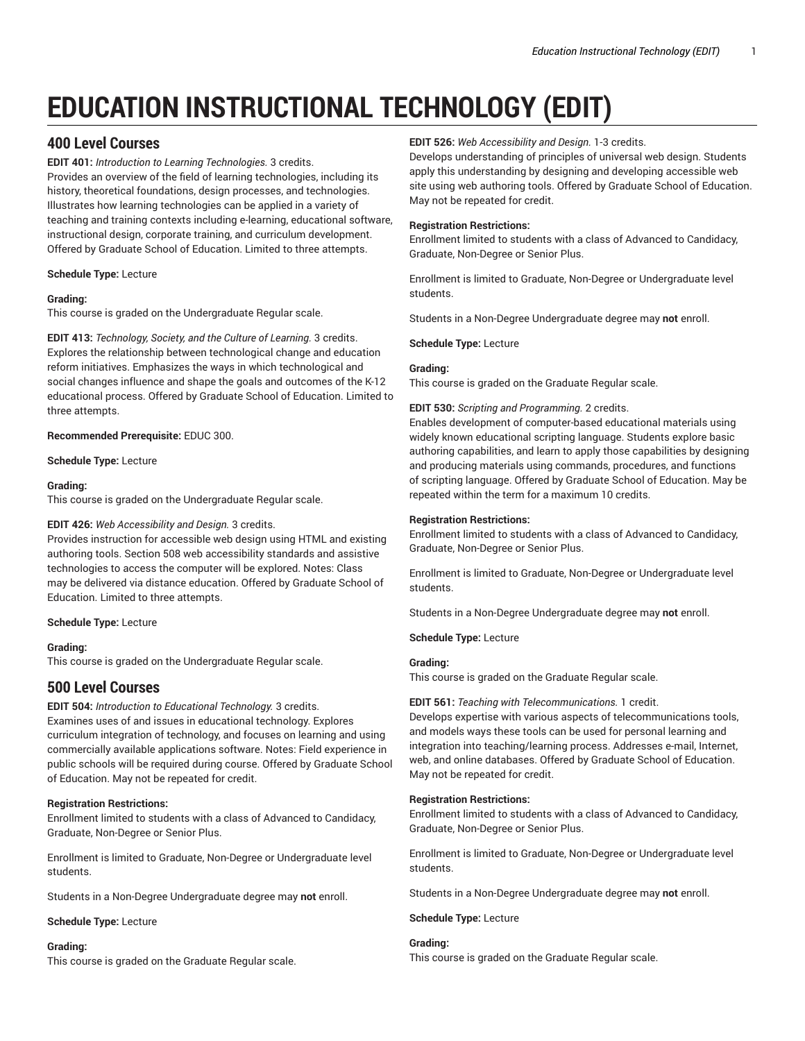# **EDUCATION INSTRUCTIONAL TECHNOLOGY (EDIT)**

# **400 Level Courses**

**EDIT 401:** *Introduction to Learning Technologies.* 3 credits. Provides an overview of the field of learning technologies, including its history, theoretical foundations, design processes, and technologies. Illustrates how learning technologies can be applied in a variety of teaching and training contexts including e-learning, educational software, instructional design, corporate training, and curriculum development. Offered by Graduate School of Education. Limited to three attempts.

**Schedule Type:** Lecture

## **Grading:**

This course is graded on the Undergraduate Regular scale.

**EDIT 413:** *Technology, Society, and the Culture of Learning.* 3 credits. Explores the relationship between technological change and education reform initiatives. Emphasizes the ways in which technological and social changes influence and shape the goals and outcomes of the K-12 educational process. Offered by Graduate School of Education. Limited to three attempts.

**Recommended Prerequisite:** EDUC 300.

**Schedule Type:** Lecture

## **Grading:**

This course is graded on the Undergraduate Regular scale.

## **EDIT 426:** *Web Accessibility and Design.* 3 credits.

Provides instruction for accessible web design using HTML and existing authoring tools. Section 508 web accessibility standards and assistive technologies to access the computer will be explored. Notes: Class may be delivered via distance education. Offered by Graduate School of Education. Limited to three attempts.

**Schedule Type:** Lecture

## **Grading:**

This course is graded on the Undergraduate Regular scale.

# **500 Level Courses**

**EDIT 504:** *Introduction to Educational Technology.* 3 credits. Examines uses of and issues in educational technology. Explores curriculum integration of technology, and focuses on learning and using commercially available applications software. Notes: Field experience in public schools will be required during course. Offered by Graduate School of Education. May not be repeated for credit.

## **Registration Restrictions:**

Enrollment limited to students with a class of Advanced to Candidacy, Graduate, Non-Degree or Senior Plus.

Enrollment is limited to Graduate, Non-Degree or Undergraduate level students.

Students in a Non-Degree Undergraduate degree may **not** enroll.

## **Schedule Type:** Lecture

## **Grading:**

This course is graded on the Graduate Regular scale.

## **EDIT 526:** *Web Accessibility and Design.* 1-3 credits.

Develops understanding of principles of universal web design. Students apply this understanding by designing and developing accessible web site using web authoring tools. Offered by Graduate School of Education. May not be repeated for credit.

## **Registration Restrictions:**

Enrollment limited to students with a class of Advanced to Candidacy, Graduate, Non-Degree or Senior Plus.

Enrollment is limited to Graduate, Non-Degree or Undergraduate level students.

Students in a Non-Degree Undergraduate degree may **not** enroll.

**Schedule Type:** Lecture

## **Grading:**

This course is graded on the Graduate Regular scale.

## **EDIT 530:** *Scripting and Programming.* 2 credits.

Enables development of computer-based educational materials using widely known educational scripting language. Students explore basic authoring capabilities, and learn to apply those capabilities by designing and producing materials using commands, procedures, and functions of scripting language. Offered by Graduate School of Education. May be repeated within the term for a maximum 10 credits.

## **Registration Restrictions:**

Enrollment limited to students with a class of Advanced to Candidacy, Graduate, Non-Degree or Senior Plus.

Enrollment is limited to Graduate, Non-Degree or Undergraduate level students.

Students in a Non-Degree Undergraduate degree may **not** enroll.

**Schedule Type:** Lecture

## **Grading:**

This course is graded on the Graduate Regular scale.

## **EDIT 561:** *Teaching with Telecommunications.* 1 credit.

Develops expertise with various aspects of telecommunications tools, and models ways these tools can be used for personal learning and integration into teaching/learning process. Addresses e-mail, Internet, web, and online databases. Offered by Graduate School of Education. May not be repeated for credit.

## **Registration Restrictions:**

Enrollment limited to students with a class of Advanced to Candidacy, Graduate, Non-Degree or Senior Plus.

Enrollment is limited to Graduate, Non-Degree or Undergraduate level students.

Students in a Non-Degree Undergraduate degree may **not** enroll.

## **Schedule Type:** Lecture

## **Grading:**

This course is graded on the Graduate Regular scale.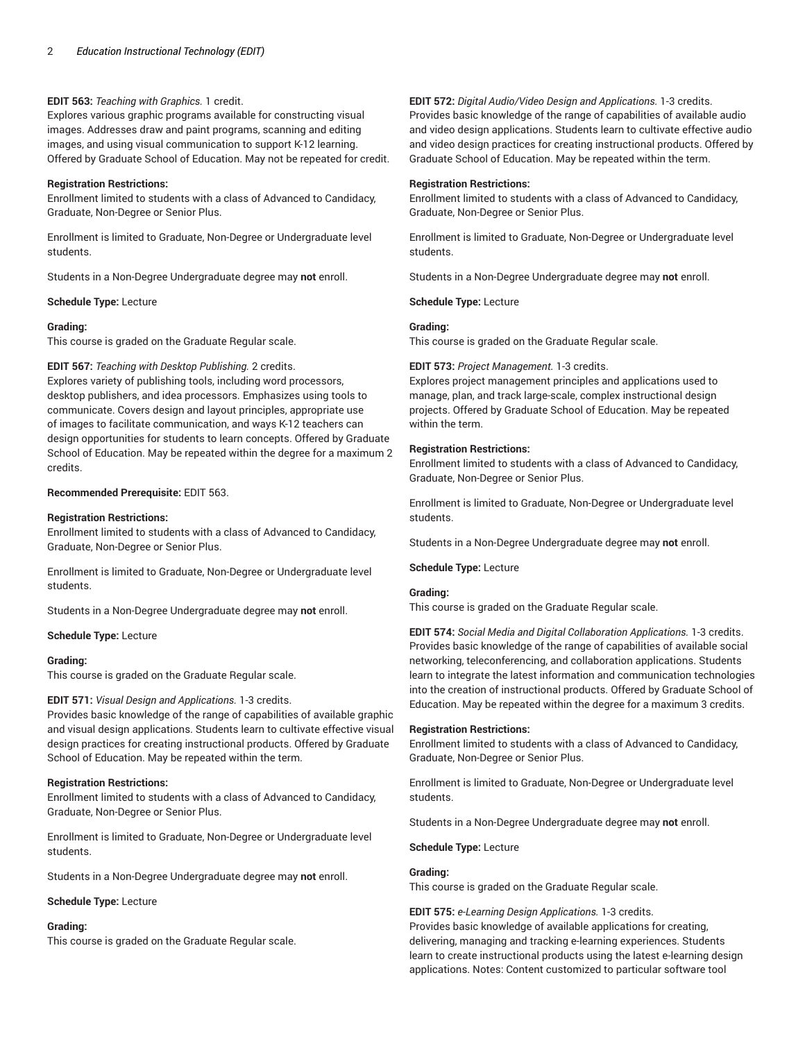## **EDIT 563:** *Teaching with Graphics.* 1 credit.

Explores various graphic programs available for constructing visual images. Addresses draw and paint programs, scanning and editing images, and using visual communication to support K-12 learning. Offered by Graduate School of Education. May not be repeated for credit.

## **Registration Restrictions:**

Enrollment limited to students with a class of Advanced to Candidacy, Graduate, Non-Degree or Senior Plus.

Enrollment is limited to Graduate, Non-Degree or Undergraduate level students.

Students in a Non-Degree Undergraduate degree may **not** enroll.

## **Schedule Type:** Lecture

## **Grading:**

This course is graded on the Graduate Regular scale.

**EDIT 567:** *Teaching with Desktop Publishing.* 2 credits. Explores variety of publishing tools, including word processors, desktop publishers, and idea processors. Emphasizes using tools to communicate. Covers design and layout principles, appropriate use of images to facilitate communication, and ways K-12 teachers can design opportunities for students to learn concepts. Offered by Graduate School of Education. May be repeated within the degree for a maximum 2 credits.

## **Recommended Prerequisite:** EDIT 563.

## **Registration Restrictions:**

Enrollment limited to students with a class of Advanced to Candidacy, Graduate, Non-Degree or Senior Plus.

Enrollment is limited to Graduate, Non-Degree or Undergraduate level students.

Students in a Non-Degree Undergraduate degree may **not** enroll.

## **Schedule Type:** Lecture

## **Grading:**

This course is graded on the Graduate Regular scale.

## **EDIT 571:** *Visual Design and Applications.* 1-3 credits.

Provides basic knowledge of the range of capabilities of available graphic and visual design applications. Students learn to cultivate effective visual design practices for creating instructional products. Offered by Graduate School of Education. May be repeated within the term.

## **Registration Restrictions:**

Enrollment limited to students with a class of Advanced to Candidacy, Graduate, Non-Degree or Senior Plus.

Enrollment is limited to Graduate, Non-Degree or Undergraduate level students.

Students in a Non-Degree Undergraduate degree may **not** enroll.

**Schedule Type:** Lecture

## **Grading:**

This course is graded on the Graduate Regular scale.

**EDIT 572:** *Digital Audio/Video Design and Applications.* 1-3 credits. Provides basic knowledge of the range of capabilities of available audio and video design applications. Students learn to cultivate effective audio and video design practices for creating instructional products. Offered by Graduate School of Education. May be repeated within the term.

## **Registration Restrictions:**

Enrollment limited to students with a class of Advanced to Candidacy, Graduate, Non-Degree or Senior Plus.

Enrollment is limited to Graduate, Non-Degree or Undergraduate level students.

Students in a Non-Degree Undergraduate degree may **not** enroll.

**Schedule Type:** Lecture

## **Grading:**

This course is graded on the Graduate Regular scale.

## **EDIT 573:** *Project Management.* 1-3 credits.

Explores project management principles and applications used to manage, plan, and track large-scale, complex instructional design projects. Offered by Graduate School of Education. May be repeated within the term.

## **Registration Restrictions:**

Enrollment limited to students with a class of Advanced to Candidacy, Graduate, Non-Degree or Senior Plus.

Enrollment is limited to Graduate, Non-Degree or Undergraduate level students.

Students in a Non-Degree Undergraduate degree may **not** enroll.

## **Schedule Type:** Lecture

## **Grading:**

This course is graded on the Graduate Regular scale.

**EDIT 574:** *Social Media and Digital Collaboration Applications.* 1-3 credits. Provides basic knowledge of the range of capabilities of available social networking, teleconferencing, and collaboration applications. Students learn to integrate the latest information and communication technologies into the creation of instructional products. Offered by Graduate School of Education. May be repeated within the degree for a maximum 3 credits.

## **Registration Restrictions:**

Enrollment limited to students with a class of Advanced to Candidacy, Graduate, Non-Degree or Senior Plus.

Enrollment is limited to Graduate, Non-Degree or Undergraduate level students.

Students in a Non-Degree Undergraduate degree may **not** enroll.

**Schedule Type:** Lecture

## **Grading:**

This course is graded on the Graduate Regular scale.

## **EDIT 575:** *e-Learning Design Applications.* 1-3 credits.

Provides basic knowledge of available applications for creating, delivering, managing and tracking e-learning experiences. Students learn to create instructional products using the latest e-learning design applications. Notes: Content customized to particular software tool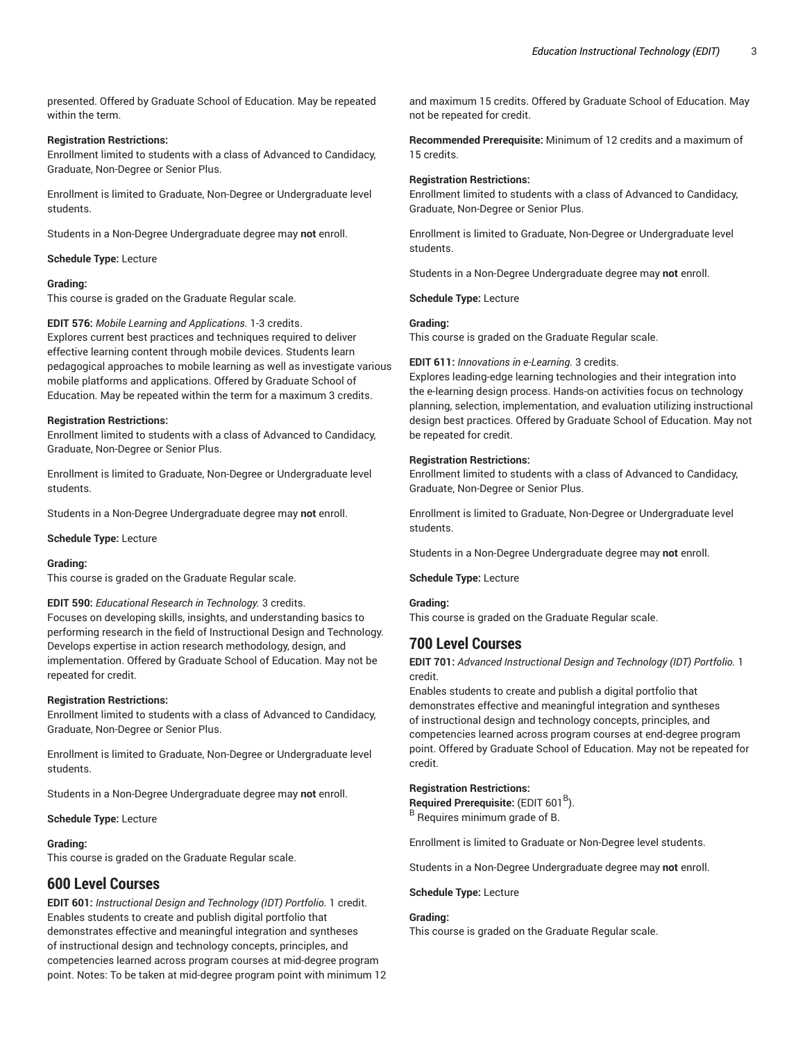presented. Offered by Graduate School of Education. May be repeated within the term.

#### **Registration Restrictions:**

Enrollment limited to students with a class of Advanced to Candidacy, Graduate, Non-Degree or Senior Plus.

Enrollment is limited to Graduate, Non-Degree or Undergraduate level students.

Students in a Non-Degree Undergraduate degree may **not** enroll.

#### **Schedule Type:** Lecture

#### **Grading:**

This course is graded on the Graduate Regular scale.

**EDIT 576:** *Mobile Learning and Applications.* 1-3 credits. Explores current best practices and techniques required to deliver effective learning content through mobile devices. Students learn pedagogical approaches to mobile learning as well as investigate various mobile platforms and applications. Offered by Graduate School of Education. May be repeated within the term for a maximum 3 credits.

#### **Registration Restrictions:**

Enrollment limited to students with a class of Advanced to Candidacy, Graduate, Non-Degree or Senior Plus.

Enrollment is limited to Graduate, Non-Degree or Undergraduate level students.

Students in a Non-Degree Undergraduate degree may **not** enroll.

**Schedule Type:** Lecture

#### **Grading:**

This course is graded on the Graduate Regular scale.

#### **EDIT 590:** *Educational Research in Technology.* 3 credits.

Focuses on developing skills, insights, and understanding basics to performing research in the field of Instructional Design and Technology. Develops expertise in action research methodology, design, and implementation. Offered by Graduate School of Education. May not be repeated for credit.

#### **Registration Restrictions:**

Enrollment limited to students with a class of Advanced to Candidacy, Graduate, Non-Degree or Senior Plus.

Enrollment is limited to Graduate, Non-Degree or Undergraduate level students.

Students in a Non-Degree Undergraduate degree may **not** enroll.

**Schedule Type:** Lecture

#### **Grading:**

This course is graded on the Graduate Regular scale.

# **600 Level Courses**

**EDIT 601:** *Instructional Design and Technology (IDT) Portfolio.* 1 credit. Enables students to create and publish digital portfolio that demonstrates effective and meaningful integration and syntheses of instructional design and technology concepts, principles, and competencies learned across program courses at mid-degree program point. Notes: To be taken at mid-degree program point with minimum 12

and maximum 15 credits. Offered by Graduate School of Education. May not be repeated for credit.

**Recommended Prerequisite:** Minimum of 12 credits and a maximum of 15 credits.

#### **Registration Restrictions:**

Enrollment limited to students with a class of Advanced to Candidacy, Graduate, Non-Degree or Senior Plus.

Enrollment is limited to Graduate, Non-Degree or Undergraduate level students.

Students in a Non-Degree Undergraduate degree may **not** enroll.

**Schedule Type:** Lecture

#### **Grading:**

This course is graded on the Graduate Regular scale.

**EDIT 611:** *Innovations in e-Learning.* 3 credits.

Explores leading-edge learning technologies and their integration into the e-learning design process. Hands-on activities focus on technology planning, selection, implementation, and evaluation utilizing instructional design best practices. Offered by Graduate School of Education. May not be repeated for credit.

#### **Registration Restrictions:**

Enrollment limited to students with a class of Advanced to Candidacy, Graduate, Non-Degree or Senior Plus.

Enrollment is limited to Graduate, Non-Degree or Undergraduate level students.

Students in a Non-Degree Undergraduate degree may **not** enroll.

**Schedule Type:** Lecture

#### **Grading:**

This course is graded on the Graduate Regular scale.

# **700 Level Courses**

**EDIT 701:** *Advanced Instructional Design and Technology (IDT) Portfolio.* 1 credit.

Enables students to create and publish a digital portfolio that demonstrates effective and meaningful integration and syntheses of instructional design and technology concepts, principles, and competencies learned across program courses at end-degree program point. Offered by Graduate School of Education. May not be repeated for credit.

#### **Registration Restrictions:**

**Required Prerequisite:** (EDIT 601 B ). B Requires minimum grade of B.

Enrollment is limited to Graduate or Non-Degree level students.

Students in a Non-Degree Undergraduate degree may **not** enroll.

#### **Schedule Type:** Lecture

## **Grading:**

This course is graded on the Graduate Regular scale.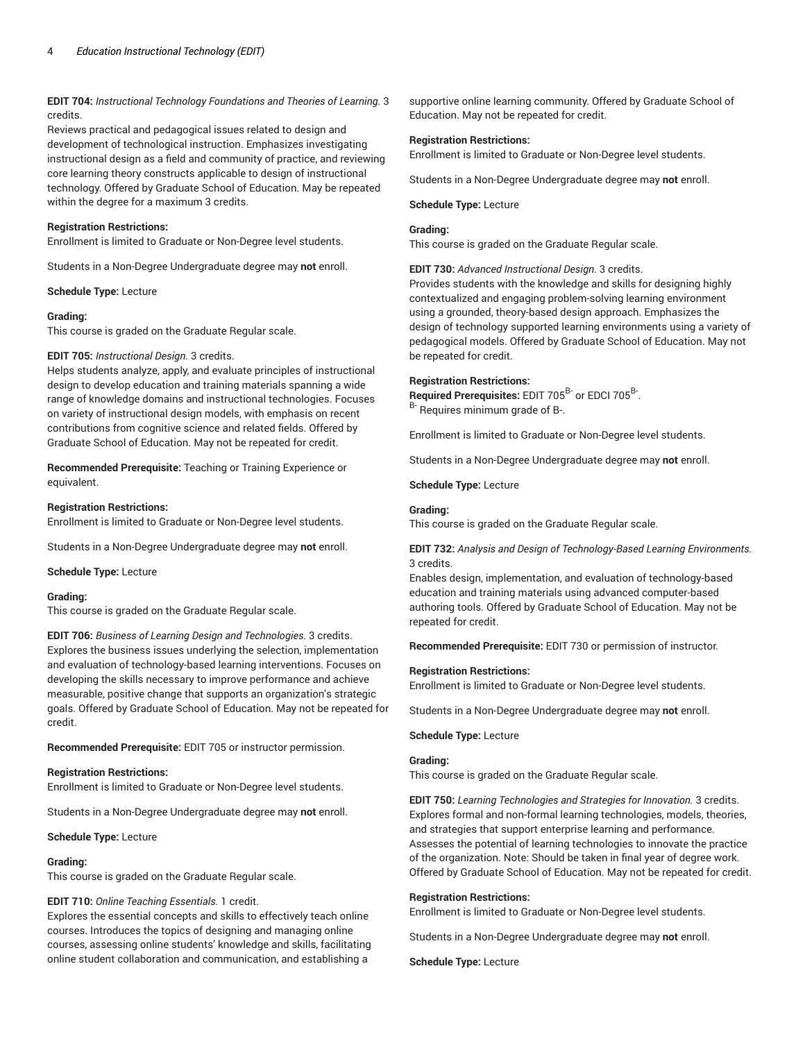**EDIT 704:** *Instructional Technology Foundations and Theories of Learning.* 3 credits.

Reviews practical and pedagogical issues related to design and development of technological instruction. Emphasizes investigating instructional design as a field and community of practice, and reviewing core learning theory constructs applicable to design of instructional technology. Offered by Graduate School of Education. May be repeated within the degree for a maximum 3 credits.

#### **Registration Restrictions:**

Enrollment is limited to Graduate or Non-Degree level students.

Students in a Non-Degree Undergraduate degree may **not** enroll.

**Schedule Type:** Lecture

#### **Grading:**

This course is graded on the Graduate Regular scale.

#### **EDIT 705:** *Instructional Design.* 3 credits.

Helps students analyze, apply, and evaluate principles of instructional design to develop education and training materials spanning a wide range of knowledge domains and instructional technologies. Focuses on variety of instructional design models, with emphasis on recent contributions from cognitive science and related fields. Offered by Graduate School of Education. May not be repeated for credit.

**Recommended Prerequisite:** Teaching or Training Experience or equivalent.

#### **Registration Restrictions:**

Enrollment is limited to Graduate or Non-Degree level students.

Students in a Non-Degree Undergraduate degree may **not** enroll.

**Schedule Type:** Lecture

## **Grading:**

This course is graded on the Graduate Regular scale.

**EDIT 706:** *Business of Learning Design and Technologies.* 3 credits. Explores the business issues underlying the selection, implementation and evaluation of technology-based learning interventions. Focuses on developing the skills necessary to improve performance and achieve measurable, positive change that supports an organization's strategic goals. Offered by Graduate School of Education. May not be repeated for credit.

**Recommended Prerequisite:** EDIT 705 or instructor permission.

#### **Registration Restrictions:**

Enrollment is limited to Graduate or Non-Degree level students.

Students in a Non-Degree Undergraduate degree may **not** enroll.

**Schedule Type:** Lecture

#### **Grading:**

This course is graded on the Graduate Regular scale.

## **EDIT 710:** *Online Teaching Essentials.* 1 credit.

Explores the essential concepts and skills to effectively teach online courses. Introduces the topics of designing and managing online courses, assessing online students' knowledge and skills, facilitating online student collaboration and communication, and establishing a

supportive online learning community. Offered by Graduate School of Education. May not be repeated for credit.

#### **Registration Restrictions:**

Enrollment is limited to Graduate or Non-Degree level students.

Students in a Non-Degree Undergraduate degree may **not** enroll.

#### **Schedule Type:** Lecture

## **Grading:**

This course is graded on the Graduate Regular scale.

**EDIT 730:** *Advanced Instructional Design.* 3 credits.

Provides students with the knowledge and skills for designing highly contextualized and engaging problem-solving learning environment using a grounded, theory-based design approach. Emphasizes the design of technology supported learning environments using a variety of pedagogical models. Offered by Graduate School of Education. May not be repeated for credit.

#### **Registration Restrictions:**

Required Prerequisites: EDIT 705<sup>B-</sup> or EDCI 705<sup>B-</sup>. <sup>B-</sup> Requires minimum grade of B-.

Enrollment is limited to Graduate or Non-Degree level students.

Students in a Non-Degree Undergraduate degree may **not** enroll.

**Schedule Type:** Lecture

#### **Grading:**

This course is graded on the Graduate Regular scale.

**EDIT 732:** *Analysis and Design of Technology-Based Learning Environments.* 3 credits.

Enables design, implementation, and evaluation of technology-based education and training materials using advanced computer-based authoring tools. Offered by Graduate School of Education. May not be repeated for credit.

**Recommended Prerequisite:** EDIT 730 or permission of instructor.

#### **Registration Restrictions:**

Enrollment is limited to Graduate or Non-Degree level students.

Students in a Non-Degree Undergraduate degree may **not** enroll.

## **Schedule Type:** Lecture

#### **Grading:**

This course is graded on the Graduate Regular scale.

**EDIT 750:** *Learning Technologies and Strategies for Innovation.* 3 credits. Explores formal and non-formal learning technologies, models, theories, and strategies that support enterprise learning and performance. Assesses the potential of learning technologies to innovate the practice of the organization. Note: Should be taken in final year of degree work. Offered by Graduate School of Education. May not be repeated for credit.

#### **Registration Restrictions:**

Enrollment is limited to Graduate or Non-Degree level students.

Students in a Non-Degree Undergraduate degree may **not** enroll.

**Schedule Type:** Lecture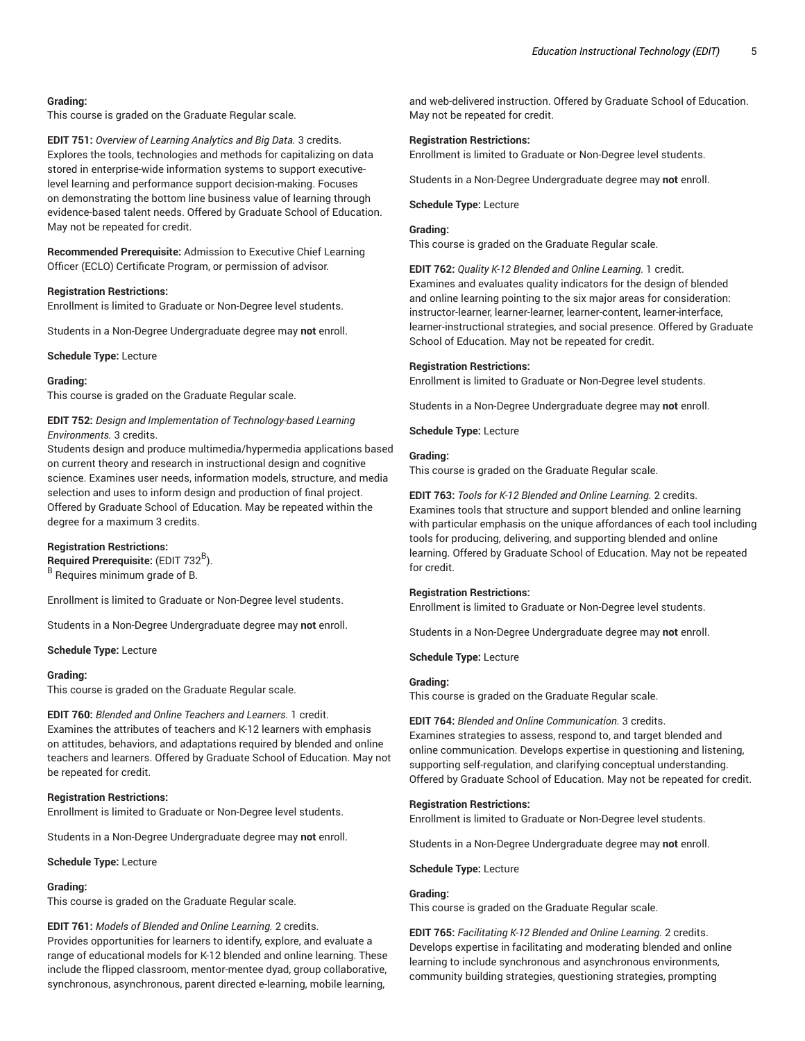## **Grading:**

This course is graded on the Graduate Regular scale.

**EDIT 751:** *Overview of Learning Analytics and Big Data.* 3 credits. Explores the tools, technologies and methods for capitalizing on data stored in enterprise-wide information systems to support executivelevel learning and performance support decision-making. Focuses on demonstrating the bottom line business value of learning through evidence-based talent needs. Offered by Graduate School of Education. May not be repeated for credit.

**Recommended Prerequisite:** Admission to Executive Chief Learning Officer (ECLO) Certificate Program, or permission of advisor.

#### **Registration Restrictions:**

Enrollment is limited to Graduate or Non-Degree level students.

Students in a Non-Degree Undergraduate degree may **not** enroll.

#### **Schedule Type:** Lecture

#### **Grading:**

This course is graded on the Graduate Regular scale.

## **EDIT 752:** *Design and Implementation of Technology-based Learning Environments.* 3 credits.

Students design and produce multimedia/hypermedia applications based on current theory and research in instructional design and cognitive science. Examines user needs, information models, structure, and media selection and uses to inform design and production of final project. Offered by Graduate School of Education. May be repeated within the degree for a maximum 3 credits.

#### **Registration Restrictions:**

**Required Prerequisite:** (EDIT 732 B ). <sup>B</sup> Requires minimum grade of B.

Enrollment is limited to Graduate or Non-Degree level students.

Students in a Non-Degree Undergraduate degree may **not** enroll.

#### **Schedule Type:** Lecture

#### **Grading:**

This course is graded on the Graduate Regular scale.

**EDIT 760:** *Blended and Online Teachers and Learners.* 1 credit. Examines the attributes of teachers and K-12 learners with emphasis on attitudes, behaviors, and adaptations required by blended and online teachers and learners. Offered by Graduate School of Education. May not

#### **Registration Restrictions:**

be repeated for credit.

Enrollment is limited to Graduate or Non-Degree level students.

Students in a Non-Degree Undergraduate degree may **not** enroll.

**Schedule Type:** Lecture

#### **Grading:**

This course is graded on the Graduate Regular scale.

#### **EDIT 761:** *Models of Blended and Online Learning.* 2 credits.

Provides opportunities for learners to identify, explore, and evaluate a range of educational models for K-12 blended and online learning. These include the flipped classroom, mentor-mentee dyad, group collaborative, synchronous, asynchronous, parent directed e-learning, mobile learning,

and web-delivered instruction. Offered by Graduate School of Education. May not be repeated for credit.

#### **Registration Restrictions:**

Enrollment is limited to Graduate or Non-Degree level students.

Students in a Non-Degree Undergraduate degree may **not** enroll.

#### **Schedule Type:** Lecture

## **Grading:**

This course is graded on the Graduate Regular scale.

**EDIT 762:** *Quality K-12 Blended and Online Learning.* 1 credit. Examines and evaluates quality indicators for the design of blended and online learning pointing to the six major areas for consideration: instructor-learner, learner-learner, learner-content, learner-interface, learner-instructional strategies, and social presence. Offered by Graduate School of Education. May not be repeated for credit.

#### **Registration Restrictions:**

Enrollment is limited to Graduate or Non-Degree level students.

Students in a Non-Degree Undergraduate degree may **not** enroll.

**Schedule Type:** Lecture

## **Grading:**

This course is graded on the Graduate Regular scale.

**EDIT 763:** *Tools for K-12 Blended and Online Learning.* 2 credits. Examines tools that structure and support blended and online learning with particular emphasis on the unique affordances of each tool including tools for producing, delivering, and supporting blended and online learning. Offered by Graduate School of Education. May not be repeated for credit.

#### **Registration Restrictions:**

Enrollment is limited to Graduate or Non-Degree level students.

Students in a Non-Degree Undergraduate degree may **not** enroll.

**Schedule Type:** Lecture

#### **Grading:**

This course is graded on the Graduate Regular scale.

**EDIT 764:** *Blended and Online Communication.* 3 credits. Examines strategies to assess, respond to, and target blended and online communication. Develops expertise in questioning and listening, supporting self-regulation, and clarifying conceptual understanding. Offered by Graduate School of Education. May not be repeated for credit.

#### **Registration Restrictions:**

Enrollment is limited to Graduate or Non-Degree level students.

Students in a Non-Degree Undergraduate degree may **not** enroll.

## **Schedule Type:** Lecture

#### **Grading:**

This course is graded on the Graduate Regular scale.

**EDIT 765:** *Facilitating K-12 Blended and Online Learning.* 2 credits. Develops expertise in facilitating and moderating blended and online learning to include synchronous and asynchronous environments, community building strategies, questioning strategies, prompting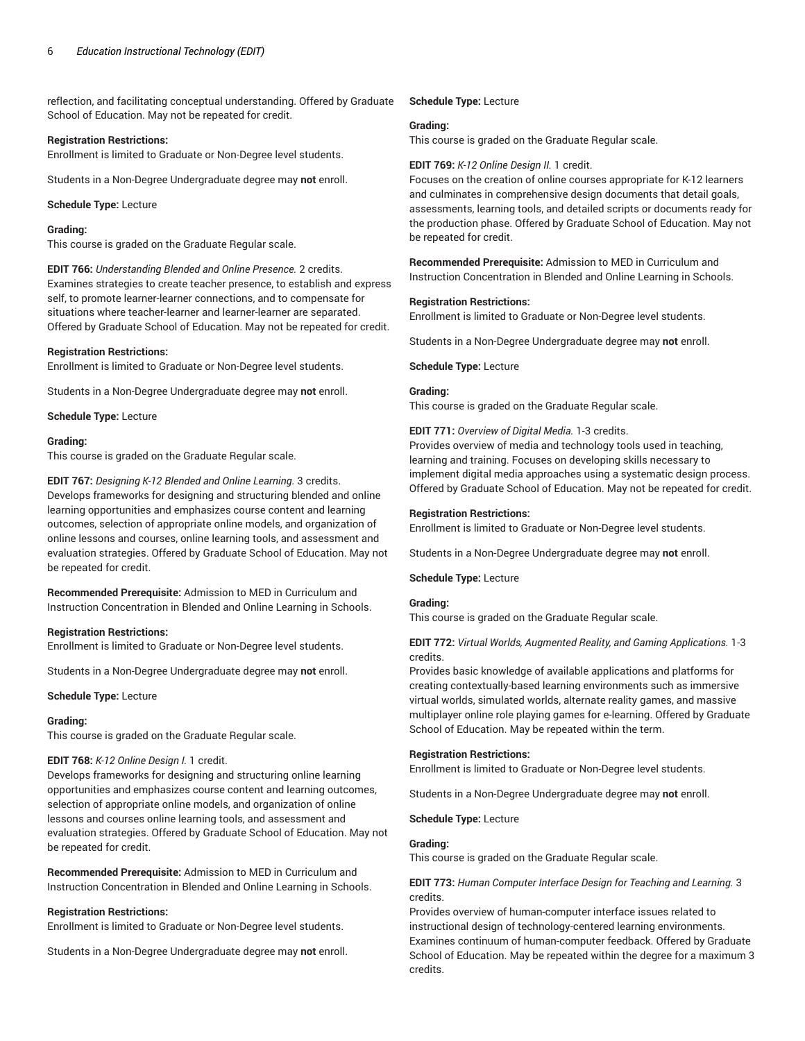reflection, and facilitating conceptual understanding. Offered by Graduate School of Education. May not be repeated for credit.

#### **Registration Restrictions:**

Enrollment is limited to Graduate or Non-Degree level students.

Students in a Non-Degree Undergraduate degree may **not** enroll.

**Schedule Type:** Lecture

## **Grading:**

This course is graded on the Graduate Regular scale.

**EDIT 766:** *Understanding Blended and Online Presence.* 2 credits. Examines strategies to create teacher presence, to establish and express self, to promote learner-learner connections, and to compensate for situations where teacher-learner and learner-learner are separated. Offered by Graduate School of Education. May not be repeated for credit.

#### **Registration Restrictions:**

Enrollment is limited to Graduate or Non-Degree level students.

Students in a Non-Degree Undergraduate degree may **not** enroll.

**Schedule Type:** Lecture

#### **Grading:**

This course is graded on the Graduate Regular scale.

**EDIT 767:** *Designing K-12 Blended and Online Learning.* 3 credits. Develops frameworks for designing and structuring blended and online learning opportunities and emphasizes course content and learning outcomes, selection of appropriate online models, and organization of online lessons and courses, online learning tools, and assessment and evaluation strategies. Offered by Graduate School of Education. May not be repeated for credit.

**Recommended Prerequisite:** Admission to MED in Curriculum and Instruction Concentration in Blended and Online Learning in Schools.

## **Registration Restrictions:**

Enrollment is limited to Graduate or Non-Degree level students.

Students in a Non-Degree Undergraduate degree may **not** enroll.

**Schedule Type:** Lecture

## **Grading:**

This course is graded on the Graduate Regular scale.

## **EDIT 768:** *K-12 Online Design I.* 1 credit.

Develops frameworks for designing and structuring online learning opportunities and emphasizes course content and learning outcomes, selection of appropriate online models, and organization of online lessons and courses online learning tools, and assessment and evaluation strategies. Offered by Graduate School of Education. May not be repeated for credit.

**Recommended Prerequisite:** Admission to MED in Curriculum and Instruction Concentration in Blended and Online Learning in Schools.

## **Registration Restrictions:**

Enrollment is limited to Graduate or Non-Degree level students.

Students in a Non-Degree Undergraduate degree may **not** enroll.

#### **Schedule Type:** Lecture

#### **Grading:**

This course is graded on the Graduate Regular scale.

#### **EDIT 769:** *K-12 Online Design II.* 1 credit.

Focuses on the creation of online courses appropriate for K-12 learners and culminates in comprehensive design documents that detail goals, assessments, learning tools, and detailed scripts or documents ready for the production phase. Offered by Graduate School of Education. May not be repeated for credit.

**Recommended Prerequisite:** Admission to MED in Curriculum and Instruction Concentration in Blended and Online Learning in Schools.

## **Registration Restrictions:**

Enrollment is limited to Graduate or Non-Degree level students.

Students in a Non-Degree Undergraduate degree may **not** enroll.

**Schedule Type:** Lecture

## **Grading:**

This course is graded on the Graduate Regular scale.

**EDIT 771:** *Overview of Digital Media.* 1-3 credits.

Provides overview of media and technology tools used in teaching, learning and training. Focuses on developing skills necessary to implement digital media approaches using a systematic design process. Offered by Graduate School of Education. May not be repeated for credit.

#### **Registration Restrictions:**

Enrollment is limited to Graduate or Non-Degree level students.

Students in a Non-Degree Undergraduate degree may **not** enroll.

**Schedule Type:** Lecture

## **Grading:**

This course is graded on the Graduate Regular scale.

**EDIT 772:** *Virtual Worlds, Augmented Reality, and Gaming Applications.* 1-3 credits.

Provides basic knowledge of available applications and platforms for creating contextually-based learning environments such as immersive virtual worlds, simulated worlds, alternate reality games, and massive multiplayer online role playing games for e-learning. Offered by Graduate School of Education. May be repeated within the term.

## **Registration Restrictions:**

Enrollment is limited to Graduate or Non-Degree level students.

Students in a Non-Degree Undergraduate degree may **not** enroll.

**Schedule Type:** Lecture

## **Grading:**

This course is graded on the Graduate Regular scale.

**EDIT 773:** *Human Computer Interface Design for Teaching and Learning.* 3 credits.

Provides overview of human-computer interface issues related to instructional design of technology-centered learning environments. Examines continuum of human-computer feedback. Offered by Graduate School of Education. May be repeated within the degree for a maximum 3 credits.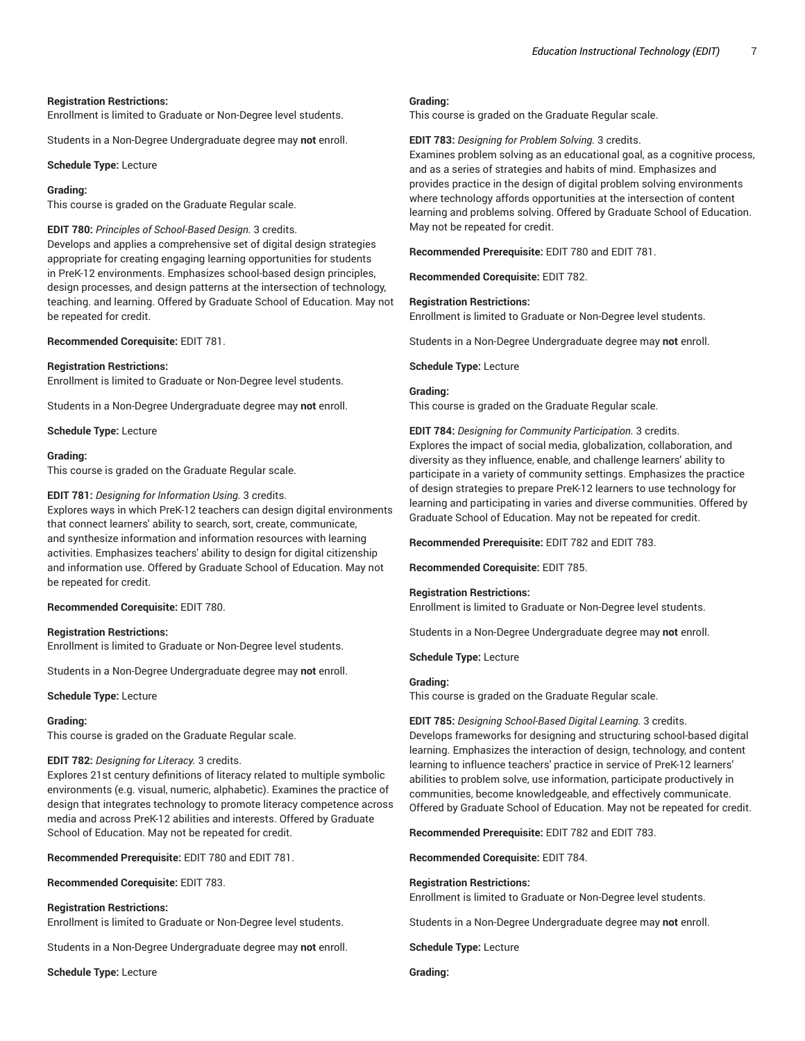#### **Registration Restrictions:**

Enrollment is limited to Graduate or Non-Degree level students.

Students in a Non-Degree Undergraduate degree may **not** enroll.

**Schedule Type:** Lecture

#### **Grading:**

This course is graded on the Graduate Regular scale.

#### **EDIT 780:** *Principles of School-Based Design.* 3 credits.

Develops and applies a comprehensive set of digital design strategies appropriate for creating engaging learning opportunities for students in PreK-12 environments. Emphasizes school-based design principles, design processes, and design patterns at the intersection of technology, teaching. and learning. Offered by Graduate School of Education. May not be repeated for credit.

**Recommended Corequisite:** EDIT 781.

#### **Registration Restrictions:**

Enrollment is limited to Graduate or Non-Degree level students.

Students in a Non-Degree Undergraduate degree may **not** enroll.

**Schedule Type:** Lecture

#### **Grading:**

This course is graded on the Graduate Regular scale.

#### **EDIT 781:** *Designing for Information Using.* 3 credits.

Explores ways in which PreK-12 teachers can design digital environments that connect learners' ability to search, sort, create, communicate, and synthesize information and information resources with learning activities. Emphasizes teachers' ability to design for digital citizenship and information use. Offered by Graduate School of Education. May not be repeated for credit.

#### **Recommended Corequisite:** EDIT 780.

## **Registration Restrictions:**

Enrollment is limited to Graduate or Non-Degree level students.

Students in a Non-Degree Undergraduate degree may **not** enroll.

**Schedule Type:** Lecture

#### **Grading:**

This course is graded on the Graduate Regular scale.

## **EDIT 782:** *Designing for Literacy.* 3 credits.

Explores 21st century definitions of literacy related to multiple symbolic environments (e.g. visual, numeric, alphabetic). Examines the practice of design that integrates technology to promote literacy competence across media and across PreK-12 abilities and interests. Offered by Graduate School of Education. May not be repeated for credit.

**Recommended Prerequisite:** EDIT 780 and EDIT 781.

**Recommended Corequisite:** EDIT 783.

#### **Registration Restrictions:**

Enrollment is limited to Graduate or Non-Degree level students.

Students in a Non-Degree Undergraduate degree may **not** enroll.

**Schedule Type:** Lecture

#### **Grading:**

This course is graded on the Graduate Regular scale.

**EDIT 783:** *Designing for Problem Solving.* 3 credits.

Examines problem solving as an educational goal, as a cognitive process, and as a series of strategies and habits of mind. Emphasizes and provides practice in the design of digital problem solving environments where technology affords opportunities at the intersection of content learning and problems solving. Offered by Graduate School of Education. May not be repeated for credit.

**Recommended Prerequisite:** EDIT 780 and EDIT 781.

**Recommended Corequisite:** EDIT 782.

## **Registration Restrictions:**

Enrollment is limited to Graduate or Non-Degree level students.

Students in a Non-Degree Undergraduate degree may **not** enroll.

**Schedule Type:** Lecture

## **Grading:**

This course is graded on the Graduate Regular scale.

**EDIT 784:** *Designing for Community Participation.* 3 credits. Explores the impact of social media, globalization, collaboration, and diversity as they influence, enable, and challenge learners' ability to participate in a variety of community settings. Emphasizes the practice of design strategies to prepare PreK-12 learners to use technology for learning and participating in varies and diverse communities. Offered by Graduate School of Education. May not be repeated for credit.

**Recommended Prerequisite:** EDIT 782 and EDIT 783.

**Recommended Corequisite:** EDIT 785.

#### **Registration Restrictions:**

Enrollment is limited to Graduate or Non-Degree level students.

Students in a Non-Degree Undergraduate degree may **not** enroll.

**Schedule Type:** Lecture

#### **Grading:**

This course is graded on the Graduate Regular scale.

**EDIT 785:** *Designing School-Based Digital Learning.* 3 credits. Develops frameworks for designing and structuring school-based digital learning. Emphasizes the interaction of design, technology, and content learning to influence teachers' practice in service of PreK-12 learners' abilities to problem solve, use information, participate productively in communities, become knowledgeable, and effectively communicate. Offered by Graduate School of Education. May not be repeated for credit.

**Recommended Prerequisite:** EDIT 782 and EDIT 783.

**Recommended Corequisite:** EDIT 784.

#### **Registration Restrictions:**

Enrollment is limited to Graduate or Non-Degree level students.

Students in a Non-Degree Undergraduate degree may **not** enroll.

**Schedule Type:** Lecture

**Grading:**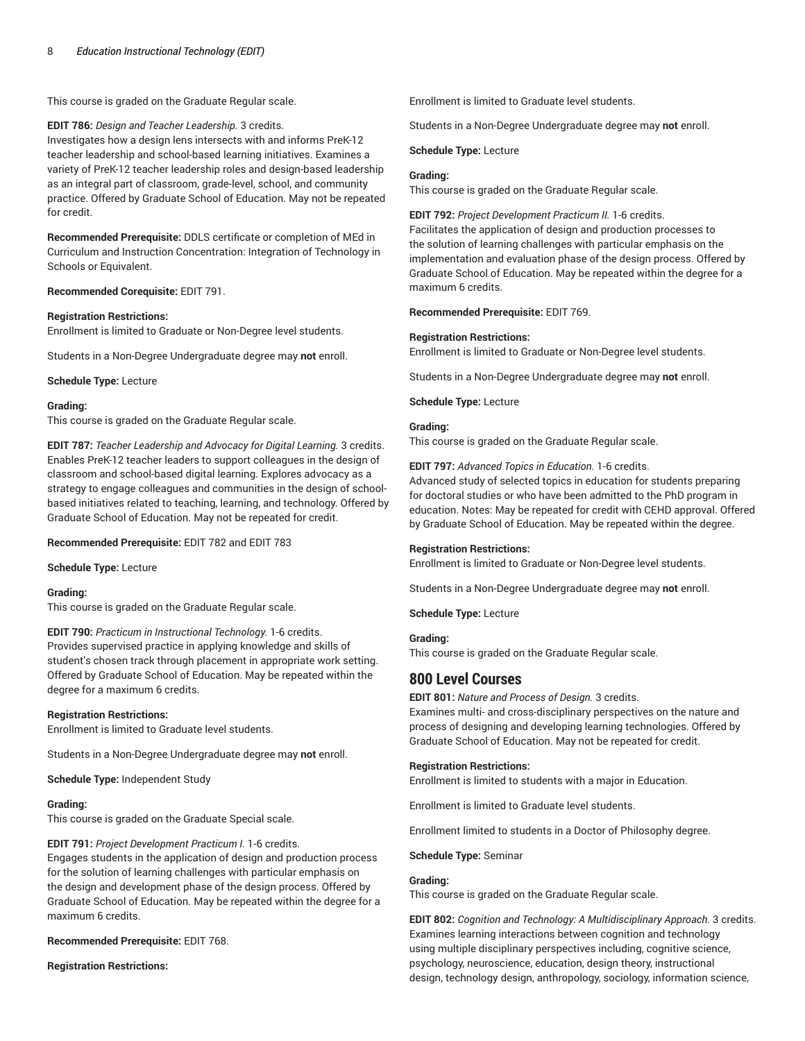This course is graded on the Graduate Regular scale.

**EDIT 786:** *Design and Teacher Leadership.* 3 credits. Investigates how a design lens intersects with and informs PreK-12 teacher leadership and school-based learning initiatives. Examines a variety of PreK-12 teacher leadership roles and design-based leadership as an integral part of classroom, grade-level, school, and community practice. Offered by Graduate School of Education. May not be repeated for credit.

**Recommended Prerequisite:** DDLS certificate or completion of MEd in Curriculum and Instruction Concentration: Integration of Technology in Schools or Equivalent.

## **Recommended Corequisite:** EDIT 791.

## **Registration Restrictions:**

Enrollment is limited to Graduate or Non-Degree level students.

Students in a Non-Degree Undergraduate degree may **not** enroll.

**Schedule Type:** Lecture

## **Grading:**

This course is graded on the Graduate Regular scale.

**EDIT 787:** *Teacher Leadership and Advocacy for Digital Learning.* 3 credits. Enables PreK-12 teacher leaders to support colleagues in the design of classroom and school-based digital learning. Explores advocacy as a strategy to engage colleagues and communities in the design of schoolbased initiatives related to teaching, learning, and technology. Offered by Graduate School of Education. May not be repeated for credit.

**Recommended Prerequisite:** EDIT 782 and EDIT 783

**Schedule Type:** Lecture

**Grading:**

This course is graded on the Graduate Regular scale.

**EDIT 790:** *Practicum in Instructional Technology.* 1-6 credits. Provides supervised practice in applying knowledge and skills of student's chosen track through placement in appropriate work setting. Offered by Graduate School of Education. May be repeated within the degree for a maximum 6 credits.

## **Registration Restrictions:**

Enrollment is limited to Graduate level students.

Students in a Non-Degree Undergraduate degree may **not** enroll.

**Schedule Type:** Independent Study

## **Grading:**

This course is graded on the Graduate Special scale.

## **EDIT 791:** *Project Development Practicum I.* 1-6 credits.

Engages students in the application of design and production process for the solution of learning challenges with particular emphasis on the design and development phase of the design process. Offered by Graduate School of Education. May be repeated within the degree for a maximum 6 credits.

## **Recommended Prerequisite:** EDIT 768.

**Registration Restrictions:**

Enrollment is limited to Graduate level students.

Students in a Non-Degree Undergraduate degree may **not** enroll.

**Schedule Type:** Lecture

## **Grading:**

This course is graded on the Graduate Regular scale.

**EDIT 792:** *Project Development Practicum II.* 1-6 credits.

Facilitates the application of design and production processes to the solution of learning challenges with particular emphasis on the implementation and evaluation phase of the design process. Offered by Graduate School of Education. May be repeated within the degree for a maximum 6 credits.

**Recommended Prerequisite:** EDIT 769.

## **Registration Restrictions:**

Enrollment is limited to Graduate or Non-Degree level students.

Students in a Non-Degree Undergraduate degree may **not** enroll.

**Schedule Type:** Lecture

## **Grading:**

This course is graded on the Graduate Regular scale.

**EDIT 797:** *Advanced Topics in Education.* 1-6 credits.

Advanced study of selected topics in education for students preparing for doctoral studies or who have been admitted to the PhD program in education. Notes: May be repeated for credit with CEHD approval. Offered by Graduate School of Education. May be repeated within the degree.

## **Registration Restrictions:**

Enrollment is limited to Graduate or Non-Degree level students.

Students in a Non-Degree Undergraduate degree may **not** enroll.

**Schedule Type:** Lecture

## **Grading:**

This course is graded on the Graduate Regular scale.

# **800 Level Courses**

**EDIT 801:** *Nature and Process of Design.* 3 credits.

Examines multi- and cross-disciplinary perspectives on the nature and process of designing and developing learning technologies. Offered by Graduate School of Education. May not be repeated for credit.

## **Registration Restrictions:**

Enrollment is limited to students with a major in Education.

Enrollment is limited to Graduate level students.

Enrollment limited to students in a Doctor of Philosophy degree.

**Schedule Type:** Seminar

## **Grading:**

This course is graded on the Graduate Regular scale.

**EDIT 802:** *Cognition and Technology: A Multidisciplinary Approach.* 3 credits. Examines learning interactions between cognition and technology using multiple disciplinary perspectives including, cognitive science, psychology, neuroscience, education, design theory, instructional design, technology design, anthropology, sociology, information science,